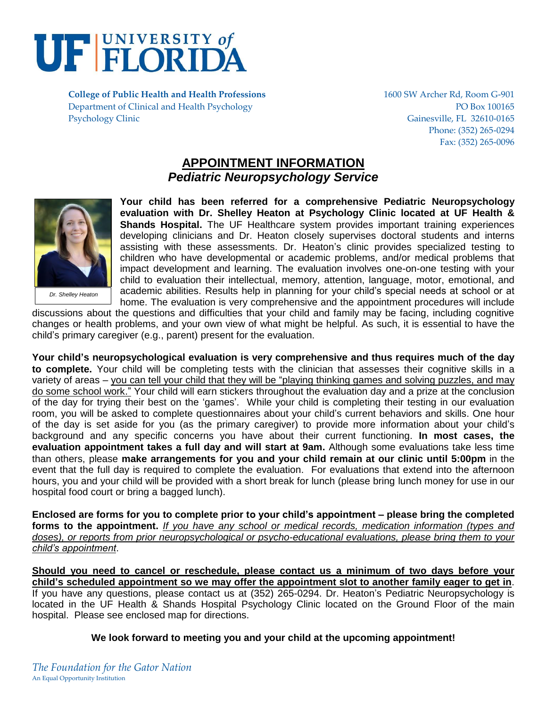

**College of Public Health and Health Professions** 1600 SW Archer Rd, Room G-901 Department of Clinical and Health Psychology PO Box 100165 Psychology Clinic Gainesville, FL 32610-0165

Phone: (352) 265-0294 Fax: (352) 265-0096

# **APPOINTMENT INFORMATION** *Pediatric Neuropsychology Service*



*Dr. Shelley Heaton*

**Your child has been referred for a comprehensive Pediatric Neuropsychology evaluation with Dr. Shelley Heaton at Psychology Clinic located at UF Health & Shands Hospital.** The UF Healthcare system provides important training experiences developing clinicians and Dr. Heaton closely supervises doctoral students and interns assisting with these assessments. Dr. Heaton's clinic provides specialized testing to children who have developmental or academic problems, and/or medical problems that impact development and learning. The evaluation involves one-on-one testing with your child to evaluation their intellectual, memory, attention, language, motor, emotional, and academic abilities. Results help in planning for your child's special needs at school or at home. The evaluation is very comprehensive and the appointment procedures will include

discussions about the questions and difficulties that your child and family may be facing, including cognitive changes or health problems, and your own view of what might be helpful. As such, it is essential to have the child's primary caregiver (e.g., parent) present for the evaluation.

**Your child's neuropsychological evaluation is very comprehensive and thus requires much of the day to complete.** Your child will be completing tests with the clinician that assesses their cognitive skills in a variety of areas – you can tell your child that they will be "playing thinking games and solving puzzles, and may do some school work." Your child will earn stickers throughout the evaluation day and a prize at the conclusion of the day for trying their best on the 'games'. While your child is completing their testing in our evaluation room, you will be asked to complete questionnaires about your child's current behaviors and skills. One hour of the day is set aside for you (as the primary caregiver) to provide more information about your child's background and any specific concerns you have about their current functioning. **In most cases, the evaluation appointment takes a full day and will start at 9am.** Although some evaluations take less time than others, please **make arrangements for you and your child remain at our clinic until 5:00pm** in the event that the full day is required to complete the evaluation. For evaluations that extend into the afternoon hours, you and your child will be provided with a short break for lunch (please bring lunch money for use in our hospital food court or bring a bagged lunch).

**Enclosed are forms for you to complete prior to your child's appointment – please bring the completed forms to the appointment.** *If you have any school or medical records, medication information (types and doses), or reports from prior neuropsychological or psycho-educational evaluations, please bring them to your child's appointment*.

**Should you need to cancel or reschedule, please contact us a minimum of two days before your child's scheduled appointment so we may offer the appointment slot to another family eager to get in**. If you have any questions, please contact us at (352) 265-0294. Dr. Heaton's Pediatric Neuropsychology is located in the UF Health & Shands Hospital Psychology Clinic located on the Ground Floor of the main hospital. Please see enclosed map for directions.

**We look forward to meeting you and your child at the upcoming appointment!**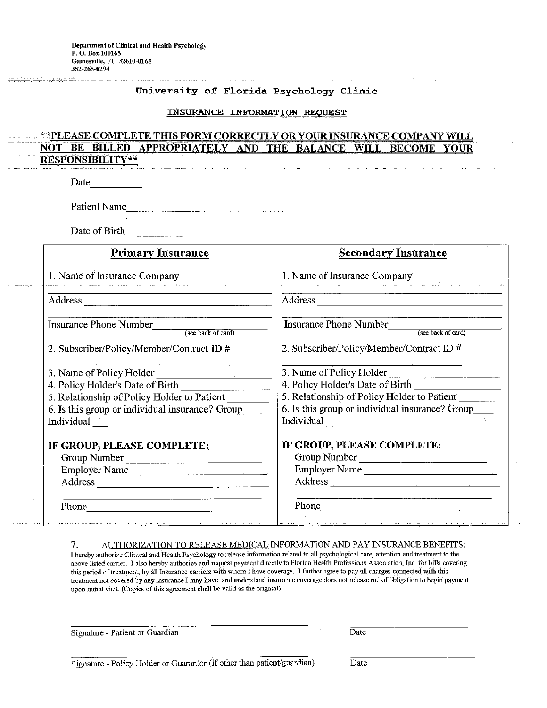### University of Florida Psychology Clinic

#### INSURANCE INFORMATION REQUEST

#### \*\*PLEASE COMPLETE THIS FORM CORRECTLY OR YOUR INSURANCE COMPANY WILL **NOT** BILLED APPROPRIATELY AND THE BALANCE WILL BECOME **BE YOUR RESPONSIBILITY\*\***

Date

Patient Name

Date of Birth

| <b>Primary Insurance</b>                                                                                                                                                                                                                                                                                                                                                                                                                                                                                                                                 | <b>Secondary Insurance</b>                          |
|----------------------------------------------------------------------------------------------------------------------------------------------------------------------------------------------------------------------------------------------------------------------------------------------------------------------------------------------------------------------------------------------------------------------------------------------------------------------------------------------------------------------------------------------------------|-----------------------------------------------------|
| 1. Name of Insurance Company                                                                                                                                                                                                                                                                                                                                                                                                                                                                                                                             | 1. Name of Insurance Company                        |
|                                                                                                                                                                                                                                                                                                                                                                                                                                                                                                                                                          | Address                                             |
| <b>Insurance Phone Number</b><br>(see back of card)                                                                                                                                                                                                                                                                                                                                                                                                                                                                                                      | <b>Insurance Phone Number</b><br>(see back of card) |
| 2. Subscriber/Policy/Member/Contract ID #                                                                                                                                                                                                                                                                                                                                                                                                                                                                                                                | 2. Subscriber/Policy/Member/Contract ID #           |
| 3. Name of Policy Holder<br>$\label{eq:1} \begin{aligned} \mathcal{L}_{\text{max}}(\mathbf{r}) & = \frac{1}{2} \left( \frac{\mathcal{L}_{\text{max}}}{\mathcal{L}_{\text{max}}} \right)^2 \left( \frac{\mathcal{L}_{\text{max}}}{\mathcal{L}_{\text{max}}} \right)^2 \left( \frac{\mathcal{L}_{\text{max}}}{\mathcal{L}_{\text{max}}} \right)^2 \left( \frac{\mathcal{L}_{\text{max}}}{\mathcal{L}_{\text{max}}} \right)^2 \left( \frac{\mathcal{L}_{\text{max}}}{\mathcal{L}_{\text{max}}} \right)^2 \left( \frac{\mathcal{L}_{\text{max}}}{\mathcal{L$ | 3. Name of Policy Holder                            |
| 4. Policy Holder's Date of Birth                                                                                                                                                                                                                                                                                                                                                                                                                                                                                                                         | 4. Policy Holder's Date of Birth                    |
| 5. Relationship of Policy Holder to Patient                                                                                                                                                                                                                                                                                                                                                                                                                                                                                                              | 5. Relationship of Policy Holder to Patient         |
| 6. Is this group or individual insurance? Group                                                                                                                                                                                                                                                                                                                                                                                                                                                                                                          | 6. Is this group or individual insurance? Group     |
| Individual                                                                                                                                                                                                                                                                                                                                                                                                                                                                                                                                               | Individual                                          |
| IF GROUP, PLEASE COMPLETE:                                                                                                                                                                                                                                                                                                                                                                                                                                                                                                                               | IF GROUP, PLEASE COMPLETE:                          |
| Group Number                                                                                                                                                                                                                                                                                                                                                                                                                                                                                                                                             | Group Number                                        |
| Employer Name                                                                                                                                                                                                                                                                                                                                                                                                                                                                                                                                            | Employer Name                                       |
|                                                                                                                                                                                                                                                                                                                                                                                                                                                                                                                                                          | Address                                             |
|                                                                                                                                                                                                                                                                                                                                                                                                                                                                                                                                                          | Phone                                               |

#### AUTHORIZATION TO RELEASE MEDICAL INFORMATION AND PAY INSURANCE BENEFITS: 7.

I hereby authorize Clinical and Health Psychology to release information related to all psychological care, attention and treatment to the above listed carrier. I also hereby authorize and request payment directly to Florida Health Professions Association, Inc. for bills covering this period of treatment, by all Insurance carriers with whom I have coverage. I further agree to pay all charges connected with this treatment not covered by any insurance I may have, and understand insurance coverage does not release me of obligation to begin payment upon initial visit. (Copies of this agreement shall be valid as the original)

Signature - Patient or Guardian

 $\mathbb{R}^{\mathbb{Z}}$ 

Signature - Policy Holder or Guarantor (if other than patient/guardian)

Date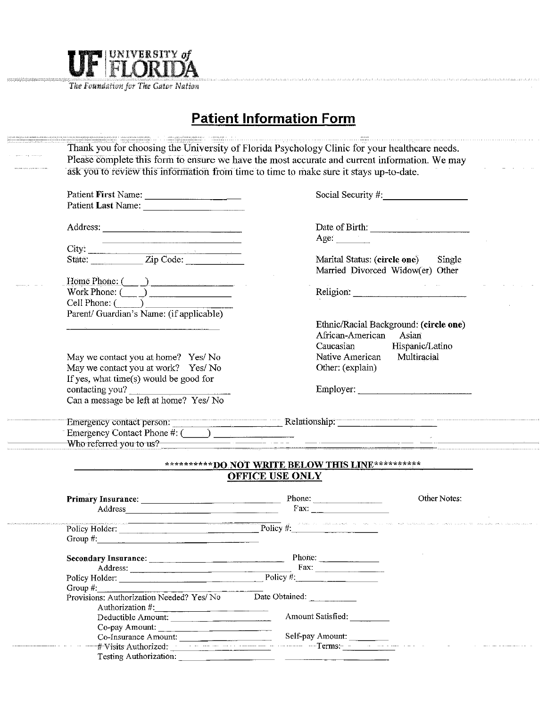

The Foundation for The Gator Nation

# **Patient Information Form**

|                                                                                                                                                                                                                                | Please complete this form to ensure we have the most accurate and current information. We may                                                                                                                                  |
|--------------------------------------------------------------------------------------------------------------------------------------------------------------------------------------------------------------------------------|--------------------------------------------------------------------------------------------------------------------------------------------------------------------------------------------------------------------------------|
|                                                                                                                                                                                                                                | ask you to review this information from time to time to make sure it stays up-to-date.                                                                                                                                         |
| Patient First Name:                                                                                                                                                                                                            | Social Security #                                                                                                                                                                                                              |
|                                                                                                                                                                                                                                |                                                                                                                                                                                                                                |
|                                                                                                                                                                                                                                |                                                                                                                                                                                                                                |
| Address:                                                                                                                                                                                                                       | Date of Birth:                                                                                                                                                                                                                 |
| the contract of the contract of the contract of the contract of the contract of                                                                                                                                                | Age: $\qquad \qquad$                                                                                                                                                                                                           |
|                                                                                                                                                                                                                                |                                                                                                                                                                                                                                |
|                                                                                                                                                                                                                                | Marital Status: (circle one) Single                                                                                                                                                                                            |
|                                                                                                                                                                                                                                | Married Divorced Widow(er) Other                                                                                                                                                                                               |
| Home Phone: ( )                                                                                                                                                                                                                |                                                                                                                                                                                                                                |
| Work Phone: $\overline{(\phantom{a})}$                                                                                                                                                                                         | Religion: New York Changes and the Changes of the Changes of the Changes of the Changes of the Changes of the Changes of the Changes of the Changes of the Changes of the Changes of the Changes of the Changes of the Changes |
| $Cell$ Phone: $(\_\_\_\_\_\_\$                                                                                                                                                                                                 |                                                                                                                                                                                                                                |
| Parent/ Guardian's Name: (if applicable)                                                                                                                                                                                       |                                                                                                                                                                                                                                |
|                                                                                                                                                                                                                                | Ethnic/Racial Background: (circle one)                                                                                                                                                                                         |
|                                                                                                                                                                                                                                | African-American<br>Asian                                                                                                                                                                                                      |
|                                                                                                                                                                                                                                | Hispanic/Latino<br>Caucasian                                                                                                                                                                                                   |
| May we contact you at home? Yes/No                                                                                                                                                                                             | Native American<br>Multiracial                                                                                                                                                                                                 |
| May we contact you at work? Yes/No                                                                                                                                                                                             | Other: (explain)                                                                                                                                                                                                               |
| If yes, what time(s) would be good for                                                                                                                                                                                         |                                                                                                                                                                                                                                |
| contacting you?                                                                                                                                                                                                                | Employer:                                                                                                                                                                                                                      |
| Can a message be left at home? Yes/ No                                                                                                                                                                                         |                                                                                                                                                                                                                                |
|                                                                                                                                                                                                                                |                                                                                                                                                                                                                                |
| Emergency Contact Phone $\#$ : $\Box$                                                                                                                                                                                          |                                                                                                                                                                                                                                |
| Who referred you to us?                                                                                                                                                                                                        | <u> 1980 - Johann John Stone, mars et al. 1980 - John Stone, mars et al. 1980 - John Stone, mars et al. 1980 - Joh</u>                                                                                                         |
|                                                                                                                                                                                                                                | ***********DO NOT WRITE BELOW THIS LINE**********                                                                                                                                                                              |
|                                                                                                                                                                                                                                | <b>OFFICE USE ONLY</b>                                                                                                                                                                                                         |
|                                                                                                                                                                                                                                | Other Notes:                                                                                                                                                                                                                   |
| Address and the contract of the contract of the contract of the contract of the contract of the contract of the contract of the contract of the contract of the contract of the contract of the contract of the contract of th | Fax: $\qquad$                                                                                                                                                                                                                  |
|                                                                                                                                                                                                                                |                                                                                                                                                                                                                                |
|                                                                                                                                                                                                                                | Policy Holder: Policy #: Policy #:                                                                                                                                                                                             |
| Group $#$ :                                                                                                                                                                                                                    |                                                                                                                                                                                                                                |
|                                                                                                                                                                                                                                | Phone:                                                                                                                                                                                                                         |
| Address:                                                                                                                                                                                                                       |                                                                                                                                                                                                                                |
| Policy Holder: Policy #:                                                                                                                                                                                                       |                                                                                                                                                                                                                                |
| Group $#$ :                                                                                                                                                                                                                    |                                                                                                                                                                                                                                |
| Provisions: Authorization Needed? Yes/No                                                                                                                                                                                       | Date Obtained:                                                                                                                                                                                                                 |
| Authorization #:<br>Deductible Amount:                                                                                                                                                                                         | Amount Satisfied:                                                                                                                                                                                                              |
|                                                                                                                                                                                                                                |                                                                                                                                                                                                                                |
|                                                                                                                                                                                                                                |                                                                                                                                                                                                                                |
| Co-pay Amount:<br>Co-Insurance Amount:                                                                                                                                                                                         | Self-pay Amount:                                                                                                                                                                                                               |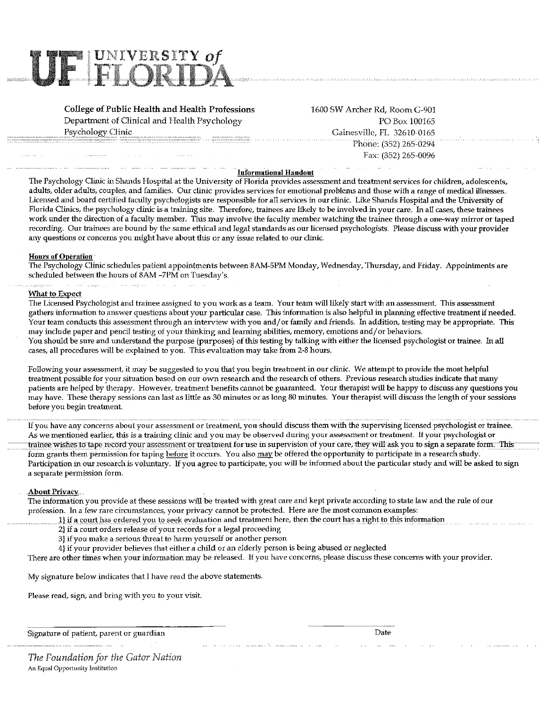

**College of Public Health and Health Professions** Department of Clinical and Health Psychology Psychology Clinic

1600 SW Archer Rd, Room G-901 PO Box 100165 Gainesville, FL 32610-0165 Phone: (352) 265-0294 Fax: (352) 265-0096

#### **Informational Handout**

The Psychology Clinic in Shands Hospital at the University of Florida provides assessment and treatment services for children, adolescents, adults, older adults, couples, and families. Our clinic provides services for emotional problems and those with a range of medical illnesses. Licensed and board certified faculty psychologists are responsible for all services in our clinic. Like Shands Hospital and the University of Florida Clinics, the psychology clinic is a training site. Therefore, trainees are likely to be involved in your care. In all cases, these trainees work under the direction of a faculty member. This may involve the faculty member watching the trainee through a one-way mirror or taped recording. Our trainees are bound by the same ethical and legal standards as our licensed psychologists. Please discuss with your provider any questions or concerns you might have about this or any issue related to our clinic.

### **Hours of Operation**

The Psychology Clinic schedules patient appointments between 8AM-5PM Monday, Wednesday, Thursday, and Friday. Appointments are scheduled between the hours of 8AM -7PM on Tuesday's.

#### What to Expect

The Licensed Psychologist and trainee assigned to you work as a team. Your team will likely start with an assessment. This assessment gathers information to answer questions about your particular case. This information is also helpful in planning effective treatment if needed. Your team conducts this assessment through an interview with you and/or family and friends. In addition, testing may be appropriate. This may include paper and pencil testing of your thinking and learning abilities, memory, emotions and/or behaviors. You should be sure and understand the purpose {purposes} of this testing by talking with either the licensed psychologist or trainee. In all cases, all procedures will be explained to you. This evaluation may take from 2-8 hours.

Following your assessment, it may be suggested to you that you begin treatment in our clinic. We attempt to provide the most helpful treatment possible for your situation based on our own research and the research of others. Previous research studies indicate that many patients are helped by therapy. However, treatment benefits cannot be guaranteed. Your therapist will be happy to discuss any questions you may have. These therapy sessions can last as little as 30 minutes or as long 80 minutes. Your therapist will discuss the length of your sessions before you begin treatment.

If you have any concerns about your assessment or treatment, you should discuss them with the supervising licensed psychologist or trainee. As we mentioned earlier, this is a training clinic and you may be observed during your assessment or treatment. If your psychologist or trainee wishes to tape record your assessment or treatment for use in supervision of your care, they will ask you to sign a separate form. This form grants them permission for taping before it occurs. You also may be offered the opportunity to participate in a research study. Participation in our research is voluntary. If you agree to participate, you will be informed about the particular study and will be asked to sign a separate permission form.

## **About Privacy**

The information you provide at these sessions will be treated with great care and kept private according to state law and the rule of our profession. In a few rare circumstances, your privacy cannot be protected. Here are the most common examples:

- 1) if a court has ordered you to seek evaluation and treatment here, then the court has a right to this information
- 2} if a court orders release of your records for a legal proceeding
- 3} if you make a serious threat to harm yourself or another person
- 4) if your provider believes that either a child or an elderly person is being abused or neglected

There are other times when your information may be released. If you have concerns, please discuss these concerns with your provider.

My signature below indicates that I have read the above statements.

Please read, sign, and bring with you to your visit.

Signature of patient, parent or guardian

Date

The Foundation for the Gator Nation An Equal Opportunity Institution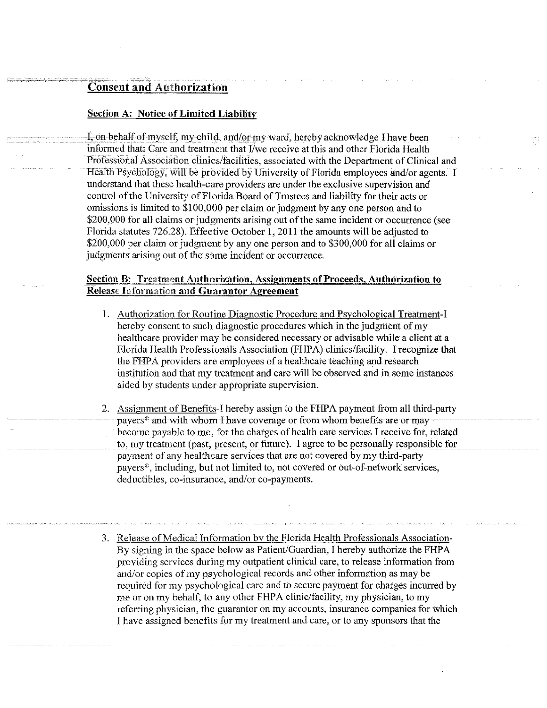## **Consent and Authorization**

## **Section A: Notice of Limited Liability**

I, on behalf of myself, my child, and/or my ward, hereby acknowledge I have been informed that: Care and treatment that I/we receive at this and other Florida Health Professional Association clinics/facilities, associated with the Department of Clinical and Health Psychology, will be provided by University of Florida employees and/or agents. I understand that these health-care providers are under the exclusive supervision and control of the University of Florida Board of Trustees and liability for their acts or omissions is limited to \$100,000 per claim or judgment by any one person and to \$200,000 for all claims or judgments arising out of the same incident or occurrence (see Florida statutes 726.28). Effective October 1, 2011 the amounts will be adjusted to \$200,000 per claim or judgment by any one person and to \$300,000 for all claims or judgments arising out of the same incident or occurrence.

## **Section B: Treatment Authorization, Assignments of Proceeds, Authorization to Release Information and Guarantor Agreement**

- 1. Authorization for Routine Diagnostic Procedure and Psychological Treatment-I hereby consent to such diagnostic procedures which in the judgment of my healthcare provider may be considered necessary or advisable while a client at a Florida Health Professionals Association (FHPA) clinics/facility. I recognize that the FHPA providers are employees of a healthcare teaching and research institution and that my treatment and care will be observed and in some instances aided by students under appropriate supervision.
- 2. Assignment of Benefits-I hereby assign to the FHPA payment from all third-party payers\* and with whom I have coverage or from whom benefits are or may become payable to me, for the charges of health care services I receive for, related to, my treatment (past, present, or future). I agree to be personally responsible for payment of any healthcare services that are not covered by my third-party payers\*, including, but not limited to, not covered or out-of-network services, deductibles, co-insurance, and/or co-payments.
- 3. Release of Medical Information by the Florida Health Professionals Association-By signing in the space below as Patient/Guardian, I hereby authorize the FHPA providing services during my outpatient clinical care, to release information from and/or copies of my psychological records and other information as may be required for my psychological care and to secure payment for charges incurred by me or on my behalf, to any other FHPA clinic/facility, my physician, to my referring physician, the guarantor on my accounts, insurance companies for which I have assigned benefits for my treatment and care, or to any sponsors that the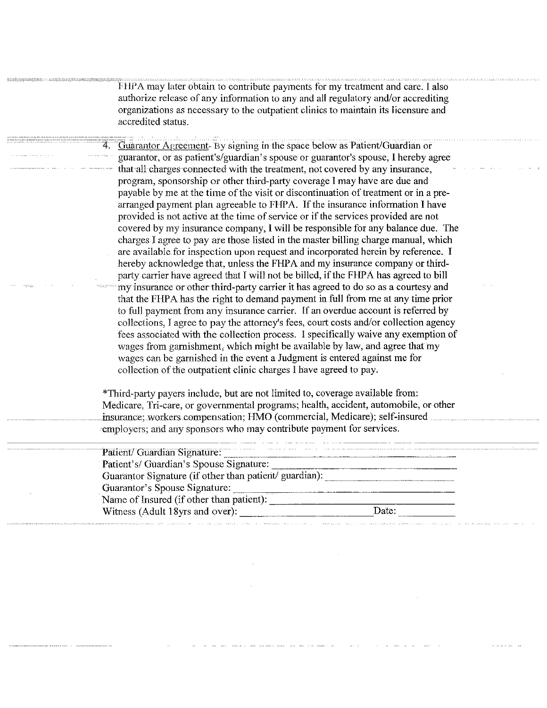FHPA may later obtain to contribute payments for my treatment and care. I also authorize release of any information to any and all regulatory and/or accrediting organizations as necessary to the outpatient clinics to maintain its licensure and accredited status.

Guarantor Agreement- By signing in the space below as Patient/Guardian or guarantor, or as patient's/guardian's spouse or guarantor's spouse, I hereby agree that all charges connected with the treatment, not covered by any insurance, program, sponsorship or other third-party coverage I may have are due and payable by me at the time of the visit or discontinuation of treatment or in a prearranged payment plan agreeable to FHPA. If the insurance information I have provided is not active at the time of service or if the services provided are not covered by my insurance company, I will be responsible for any balance due. The charges I agree to pay are those listed in the master billing charge manual, which are available for inspection upon request and incorporated herein by reference. I hereby acknowledge that, unless the FHPA and my insurance company or thirdparty carrier have agreed that I will not be billed, if the FHPA has agreed to bill my insurance or other third-party carrier it has agreed to do so as a courtesy and that the FHPA has the right to demand payment in full from me at any time prior to full payment from any insurance carrier. If an overdue account is referred by collections, I agree to pay the attorney's fees, court costs and/or collection agency fees associated with the collection process. I specifically waive any exemption of wages from garnishment, which might be available by law, and agree that my wages can be garnished in the event a Judgment is entered against me for collection of the outpatient clinic charges I have agreed to pay.

\*Third-party payers include, but are not limited to, coverage available from: Medicare, Tri-care, or governmental programs; health, accident, automobile, or other insurance; workers compensation; HMO (commercial, Medicare); self-insured employers; and any sponsors who may contribute payment for services.

| Patient/ Guardian Signature:                           | the continuous company of the fundamental company of the first that |
|--------------------------------------------------------|---------------------------------------------------------------------|
| Patient's/ Guardian's Spouse Signature:                |                                                                     |
| Guarantor Signature (if other than patient/ guardian): |                                                                     |
| Guarantor's Spouse Signature:                          |                                                                     |
| <br>Name of Insured (if other than patient):           |                                                                     |
| Witness (Adult 18yrs and over):                        | Date:                                                               |